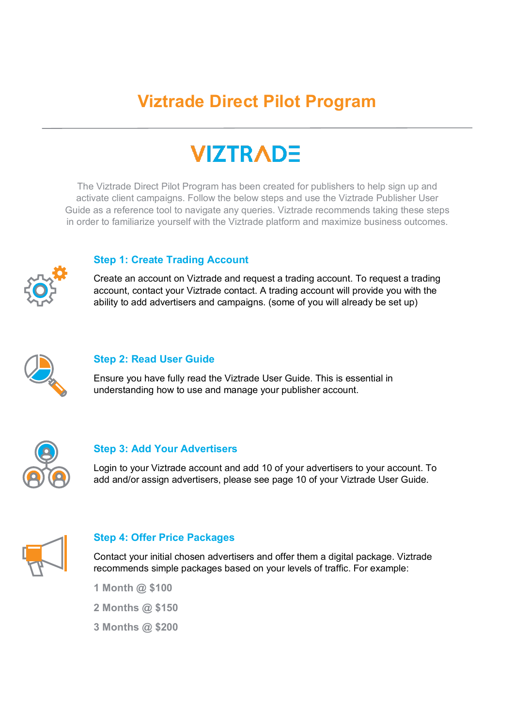# **Viztrade Direct Pilot Program**

# **VIZTRADE**

The Viztrade Direct Pilot Program has been created for publishers to help sign up and activate client campaigns. Follow the below steps and use the Viztrade Publisher User Guide as a reference tool to navigate any queries. Viztrade recommends taking these steps in order to familiarize yourself with the Viztrade platform and maximize business outcomes.



# **Step 1: Create Trading Account**

Create an account on Viztrade and request a trading account. To request a trading account, contact your Viztrade contact. A trading account will provide you with the ability to add advertisers and campaigns. (some of you will already be set up)



# **Step 2: Read User Guide**

Ensure you have fully read the Viztrade User Guide. This is essential in understanding how to use and manage your publisher account.



## **Step 3: Add Your Advertisers**

Login to your Viztrade account and add 10 of your advertisers to your account. To add and/or assign advertisers, please see page 10 of your Viztrade User Guide.



## **Step 4: Offer Price Packages**

Contact your initial chosen advertisers and offer them a digital package. Viztrade recommends simple packages based on your levels of traffic. For example:

- **1 Month @ \$100**
- **2 Months @ \$150**
- **3 Months @ \$200**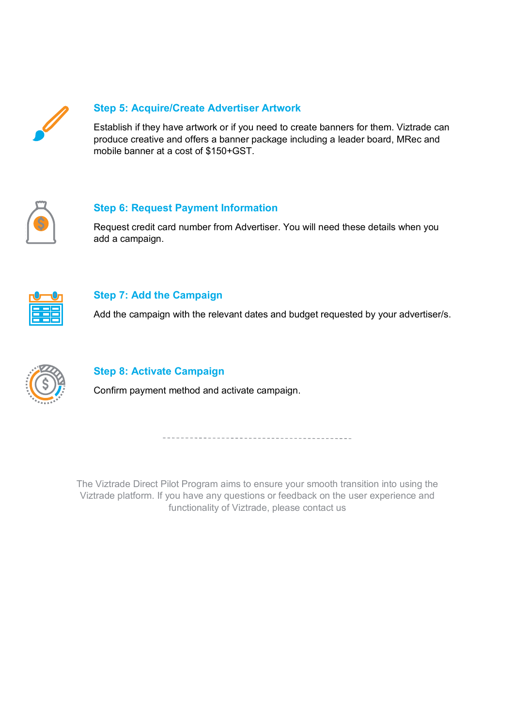

# **Step 5: Acquire/Create Advertiser Artwork**

Establish if they have artwork or if you need to create banners for them. Viztrade can produce creative and offers a banner package including a leader board, MRec and mobile banner at a cost of \$150+GST.



## **Step 6: Request Payment Information**

Request credit card number from Advertiser. You will need these details when you add a campaign.



## **Step 7: Add the Campaign**

Add the campaign with the relevant dates and budget requested by your advertiser/s.



# **Step 8: Activate Campaign**

Confirm payment method and activate campaign.

The Viztrade Direct Pilot Program aims to ensure your smooth transition into using the Viztrade platform. If you have any questions or feedback on the user experience and functionality of Viztrade, please contact us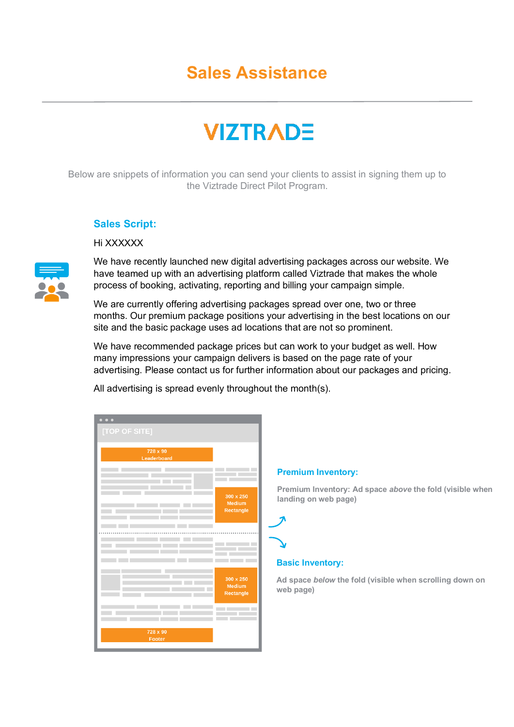# **Sales Assistance**

# **VIZTRADE**

Below are snippets of information you can send your clients to assist in signing them up to the Viztrade Direct Pilot Program.

### **Sales Script:**

### Hi XXXXXX

We have recently launched new digital advertising packages across our website. We have teamed up with an advertising platform called Viztrade that makes the whole process of booking, activating, reporting and billing your campaign simple.

We are currently offering advertising packages spread over one, two or three months. Our premium package positions your advertising in the best locations on our site and the basic package uses ad locations that are not so prominent.

We have recommended package prices but can work to your budget as well. How many impressions your campaign delivers is based on the page rate of your advertising. Please contact us for further information about our packages and pricing.

| All advertising is spread evenly throughout the month(s). |  |  |  |
|-----------------------------------------------------------|--|--|--|
|                                                           |  |  |  |

| $\bullet\bullet\bullet$       |                  |
|-------------------------------|------------------|
| [TOP OF SITE]                 |                  |
|                               |                  |
| 728 x 90                      |                  |
| Leaderboard                   |                  |
| П<br><b>Contract Contract</b> |                  |
|                               | $300 \times 250$ |
| <b>The Common State</b>       | <b>Medium</b>    |
| ▄                             | Rectangle        |
|                               |                  |
|                               |                  |
|                               |                  |
| ٠<br>. .                      |                  |
| ٠<br>٠<br><b>CONTRACTOR</b>   |                  |
|                               |                  |
|                               | 300 x 250        |
| <b>Contract Contract</b>      | Medium           |
|                               | Rectangle        |
|                               |                  |
| <b>The Common</b>             |                  |
| the control of the control of |                  |
| 728 x 90                      |                  |
| Footer                        |                  |
|                               |                  |

#### **Premium Inventory:**

**Premium Inventory: Ad space** *above* **the fold (visible when landing on web page)**

### **Basic Inventory:**

**Ad space** *below* **the fold (visible when scrolling down on web page)**